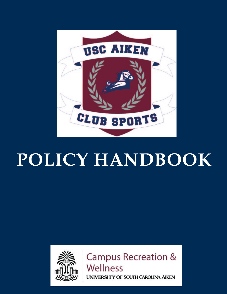

# **POLICY HANDBOOK**



**Campus Recreation & Wellness** UNIVERSITY OF SOUTH CAROLINA AIKEN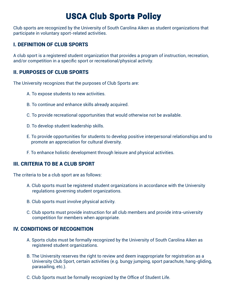# USCA Club Sports Policy

Club sports are recognized by the University of South Carolina Aiken as student organizations that participate in voluntary sport-related activities.

# I. DEFINITION OF CLUB SPORTS

A club sport is a registered student organization that provides a program of instruction, recreation, and/or competition in a specific sport or recreational/physical activity.

# II. PURPOSES OF CLUB SPORTS

The University recognizes that the purposes of Club Sports are:

- A. To expose students to new activities.
- B. To continue and enhance skills already acquired.
- C. To provide recreational opportunities that would otherwise not be available.
- D. To develop student leadership skills.
- E. To provide opportunities for students to develop positive interpersonal relationships and to promote an appreciation for cultural diversity.
- F. To enhance holistic development through leisure and physical activities.

### III. CRITERIA TO BE A CLUB SPORT

The criteria to be a club sport are as follows:

- A. Club sports must be registered student organizations in accordance with the University regulations governing student organizations.
- B. Club sports must involve physical activity.
- C. Club sports must provide instruction for all club members and provide intra-university competition for members when appropriate.

#### IV. CONDITIONS OF RECOGNITION

- A. Sports clubs must be formally recognized by the University of South Carolina Aiken as registered student organizations.
- B. The University reserves the right to review and deem inappropriate for registration as a University Club Sport, certain activities (e.g. bungy jumping, sport parachute, hang-gliding, parasailing, etc.).
- C. Club Sports must be formally recognized by the Office of Student Life.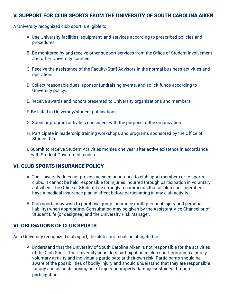#### V. SUPPORT FOR CLUB SPORTS FROM THE UNIVERSITY OF SOUTH CAROLINA AIKEN

A University recognized club sport is eligible to:

- A. Use University facilities, equipment, and services according to prescribed policies and procedures.
- B. Be monitored by and receive other support services from the Office of Student Involvement and other University sources.
- C. Receive the assistance of the Faculty/Staff Advisors in the normal business activities and operations.
- D. Collect reasonable dues, sponsor fundraising events, and solicit funds according to University policy.
- E. Receive awards and honors presented to University organizations and members.
- F. Be listed in University/student publications.
- G. Sponsor program activities consistent with the purpose of the organization.
- H. Participate in leadership training workshops and programs sponsored by the Office of Student Life.
- I. Submit to receive Student Activities monies one year after active existence in accordance with Student Government codes.

#### VI. CLUB SPORTS INSURANCE POLICY

- A. The University does not provide accident insurance to club sport members or to sports clubs. It cannot be held responsible for injuries incurred through participation in voluntary activities. The Office of Student Life strongly recommends that all club sport members have a medical insurance plan in effect before participating in any club activity.
- B. Club sports may wish to purchase group insurance (both personal injury and personal liability) when appropriate. Consultation may be given by the Assistant Vice Chancellor of Student Life (or designee) and the University Risk Manager.

#### VI. OBLIGATIONS OF CLUB SPORTS

As a University recognized club sport, the club sport shall be obligated to:

A. Understand that the University of South Carolina Aiken is not responsible for the activities of the Club Sport. The University considers participation in club sport programs a purely voluntary activity and individuals participate at their own risk. Participants should be aware of the possibilities of bodily injury and should understand that they are responsible for any and all costs arising out of injury or property damage sustained through participation.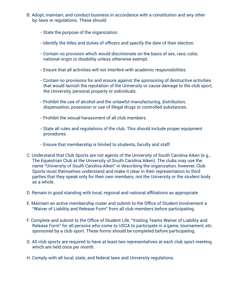- B. Adopt, maintain, and conduct business in accordance with a constitution and any other by-laws or regulations. These should:
	- State the purpose of the organization.
	- Identify the titles and duties of officers and specify the date of their election.
	- Contain no provision which would discriminate on the basis of sex, race, color, national origin or disability unless otherwise exempt.
	- Ensure that all activities will not interfere with academic responsibilities.
	- Contain no provisions for and ensure against the sponsoring of destructive activities that would tarnish the reputation of the University or cause damage to the club sport, the University, personal property or individuals.
	- Prohibit the use of alcohol and the unlawful manufacturing, distribution, dispensation, posession or use of illegal drugs or controlled substances.
	- Prohibit the sexual harassment of all club members.
	- State all rules and regulations of the club. This should include proper equipment procedures.
	- Ensure that membership is limited to students, faculty and staff.
- C. Understand that Club Sports are not agents of the University of South Carolina Aiken (e.g., The Equestrian Club at the University of South Carolina Aiken). The clubs may use the name "University of South Carolina Aiken" in describing the organization, however, Club Sports must themselves understand and make it clear in their representation to third parties that they speak only for their own members, not the University or the student body as a whole.
- D. Remain in good standing with local, regional and national affiliations as appropriate.
- E. Maintain an active membership roster and submit to the Office of Student Involvement a "Waiver of Liability and Release Form" from all club members before participating.
- F. Complete and submit to the Office of Student Life, "Visiting Teams Waiver of Liability and Release Form" for all persons who come to USCA to participate in a game, tournament, etc. sponsored by a club sport. These forms should be completed before participating.
- G. All club sports are required to have at least two representatives at each club sport meeting which are held once per month.
- H. Comply with all local, state, and federal laws and University regulations.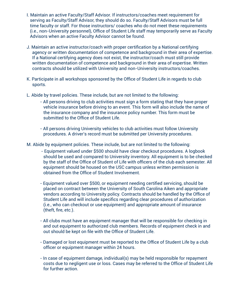- I. Maintain an active Faculty/Staff Advisor. If instructors/coaches meet requirement for serving as Faculty/Staff Advisor, they should do so. Faculty/Staff Advisors must be full time faculty or staff. For those instructors/ coaches who do not meet these requirements (i.e., non-University personnel), Office of Student Life staff may temporarily serve as Faculty Advisors when an active Faculty Advisor cannot be found.
- J. Maintain an active instructor/coach with proper certification by a National certifying agency or written documentation of competence and background in their area of expertise. If a National certifying agency does not exist, the instructor/coach must still provide written documentation of competence and background in their area of expertise. Written contracts should be utilized with University and non-University instructors/coaches.
- K. Participate in all workshops sponsored by the Office of Student Life in regards to club sports.
- L. Abide by travel policies. These include, but are not limited to the following:
	- All persons driving to club activities must sign a form stating that they have proper vehicle insurance before driving to an event. This form will also include the name of the insurance company and the insurance policy number. This form must be submitted to the Office of Student Life.
	- All persons driving University vehicles to club activities must follow University procedures. A driver's record must be submitted per University procedures.
- M. Abide by equipment policies. These include, but are not limited to the following:
	- Equipment valued under \$500 should have clear checkout procedures. A logbook should be used and compared to University inventory. All equipment is to be checked by the staff of the Office of Student of Life with officers of the club each semester. All equipment should be housed on the USC campus unless written permission is obtained from the Office of Student Involvement.
	- Equipment valued over \$500, or equipment needing certified servicing, should be placed on contract between the University of South Carolina Aiken and appropriate vendors according to University policy. Contracts should be handled by the Office of Student Life and will include specifics regarding clear procedures of authorization (i.e., who can checkout or use equipment) and appropriate amount of insurance (theft, fire, etc.).
	- All clubs must have an equipment manager that will be responsible for checking in and out equipment to authorized club members. Records of equipment check in and out should be kept on file with the Office of Student Life.
	- Damaged or lost equipment must be reported to the Office of Student Life by a club officer or equipment manager within 24 hours.
	- In case of equipment damage, individual(s) may be held responsible for repayment costs due to negligent use or loss. Cases may be referred to the Office of Student Life for further action.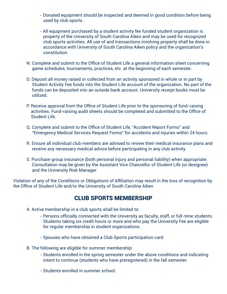- Donated equipment should be inspected and deemed in good condition before being used by club sports.
- All equipment purchased by a student activity fee funded student organization is property of the University of South Carolina Aiken and may be used for recognized club sports activities. All use of and transactions involving property shall be done in accordance with University of South Carolina Aiken policy and the organization's constitution.
- N. Complete and submit to the Office of Student Life a general information sheet concerning game schedules, tournaments, practices, etc. at the beginning of each semester.
- O. Deposit all money raised or collected from an activity sponsored in whole or in part by Student Activity Fee funds into the Student Life account of the organization. No part of the funds can be deposited into an outside bank account. University receipt books must be utilized.
- P. Receive approval from the Office of Student Life prior to the sponsoring of fund-raising activities. Fund-raising audit sheets should be completed and submitted to the Office of Student Life.
- Q. Complete and submit to the Office of Student Life, "Accident Report Forms" and "Emergency Medical Services Request Forms" for accidents and injuries within 24 hours.
- R. Ensure all individual club members are advised to review their medical insurance plans and receive any necessary medical advice before participating in any club activity.
- S. Purchase group insurance (both personal injury and personal liability) when appropriate. Consultation may be given by the Assistant Vice Chancellor of Student Life (or designee) and the University Risk Manager.

Violation of any of the Conditions or Obligations of Affiliation may result in the loss of recognition by the Office of Student Life and/or the University of South Carolina Aiken.

# CLUB SPORTS MEMBERSHIP

- A. Active membership in a club sports shall be limited to:
	- Persons officially connected with the University as faculty, staff, or full-time students. Students taking six credit hours or more and who pay the University Fee are eligible for regular membership in student organizations.
	- Spouses who have obtained a Club Sports participation card.
- B. The following are eligible for summer membership:
	- Students enrolled in the spring semester under the above conditions and indicating intent to continue (students who have preregistered) in the fall semester.
	- Students enrolled in summer school.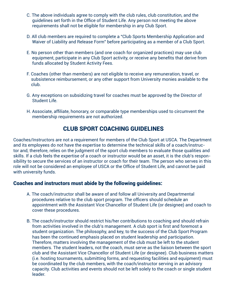- C. The above individuals agree to comply with the club rules, club constitution, and the guidelines set forth in the Office of Student Life. Any person not meeting the above requirements shall not be eligible for membership in any Club Sport.
- D. All club members are required to complete a "Club Sports Membership Application and Waiver of Liability and Release Form" before participating as a member of a Club Sport.
- E. No person other than members (and one coach for organized practices) may use club equipment, participate in any Club Sport activity, or receive any benefits that derive from funds allocated by Student Activity Fees.
- F. Coaches (other than members) are not eligible to receive any remuneration, travel, or subsistence reimbursement, or any other support from University monies available to the club.
- G. Any exceptions on subsidizing travel for coaches must be approved by the Director of Student Life.
- H. Associate, affiliate, honorary, or comparable type memberships used to circumvent the membership requirements are not authorized.

# CLUB SPORT COACHING GUIDELINES

Coaches/Instructors are not a requirement for members of the Club Sport at USCA. The Department and its employees do not have the expertise to determine the technical skills of a coach/instructor and, therefore, relies on the judgment of the sport club members to evaluate those qualities and skills. If a club feels the expertise of a coach or instructor would be an asset, it is the club's responsibility to secure the services of an instructor or coach for their team. The person who serves in this role will not be considered an employee of USCA or the Office of Student Life, and cannot be paid with university funds.

#### Coaches and instructors must abide by the following guidelines:

- A. The coach/instructor shall be aware of and follow all University and Departmental procedures relative to the club sport program. The officers should schedule an appointment with the Assistant Vice Chancellor of Student Life (or designee) and coach to cover these procedures.
- B. The coach/instructor should restrict his/her contributions to coaching and should refrain from activities involved in the club's management. A club sport is first and foremost a student organization. The philosophy, and key, to the success of the Club Sport Program has been the continued emphasis placed on student leadership and participation. Therefore, matters involving the management of the club must be left to the student members. The student leaders, not the coach, must serve as the liaison between the sport club and the Assistant Vice Chancellor of Student Life (or designee). Club business matters (i.e. hosting tournaments, submitting forms, and requesting facilities and equipment) must be coordinated by the club members, with the coach/instructor serving in an advisory capacity. Club activities and events should not be left solely to the coach or single student leader.